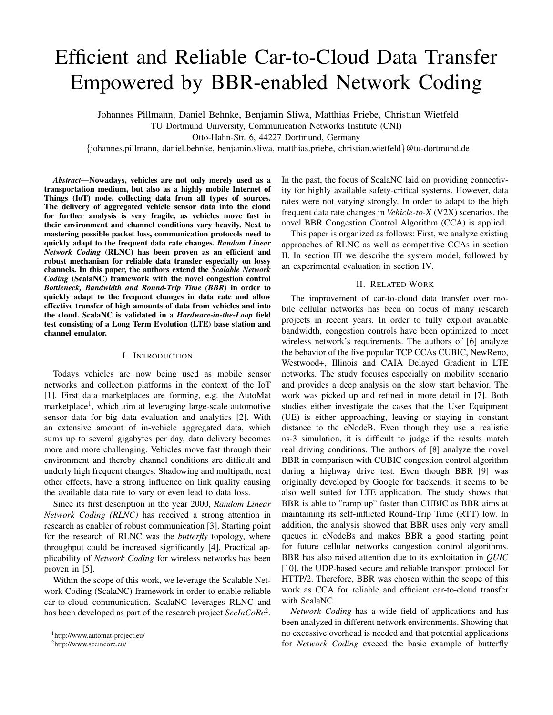# Efficient and Reliable Car-to-Cloud Data Transfer Empowered by BBR-enabled Network Coding

Johannes Pillmann, Daniel Behnke, Benjamin Sliwa, Matthias Priebe, Christian Wietfeld

TU Dortmund University, Communication Networks Institute (CNI)

Otto-Hahn-Str. 6, 44227 Dortmund, Germany

{johannes.pillmann, daniel.behnke, benjamin.sliwa, matthias.priebe, christian.wietfeld}@tu-dortmund.de

*Abstract*—Nowadays, vehicles are not only merely used as a transportation medium, but also as a highly mobile Internet of Things (IoT) node, collecting data from all types of sources. The delivery of aggregated vehicle sensor data into the cloud for further analysis is very fragile, as vehicles move fast in their environment and channel conditions vary heavily. Next to mastering possible packet loss, communication protocols need to quickly adapt to the frequent data rate changes. *Random Linear Network Coding* (RLNC) has been proven as an efficient and robust mechanism for reliable data transfer especially on lossy channels. In this paper, the authors extend the *Scalable Network Coding* (ScalaNC) framework with the novel congestion control *Bottleneck, Bandwidth and Round-Trip Time (BBR)* in order to quickly adapt to the frequent changes in data rate and allow effective transfer of high amounts of data from vehicles and into the cloud. ScalaNC is validated in a *Hardware-in-the-Loop* field test consisting of a Long Term Evolution (LTE) base station and channel emulator.

# I. INTRODUCTION

Todays vehicles are now being used as mobile sensor networks and collection platforms in the context of the IoT [1]. First data marketplaces are forming, e.g. the AutoMat marketplace<sup>1</sup>, which aim at leveraging large-scale automotive sensor data for big data evaluation and analytics [2]. With an extensive amount of in-vehicle aggregated data, which sums up to several gigabytes per day, data delivery becomes more and more challenging. Vehicles move fast through their environment and thereby channel conditions are difficult and underly high frequent changes. Shadowing and multipath, next other effects, have a strong influence on link quality causing the available data rate to vary or even lead to data loss.

Since its first description in the year 2000, *Random Linear Network Coding (RLNC)* has received a strong attention in research as enabler of robust communication [3]. Starting point for the research of RLNC was the *butterfly* topology, where throughput could be increased significantly [4]. Practical applicability of *Network Coding* for wireless networks has been proven in [5].

Within the scope of this work, we leverage the Scalable Network Coding (ScalaNC) framework in order to enable reliable car-to-cloud communication. ScalaNC leverages RLNC and has been developed as part of the research project *SecInCoRe*<sup>2</sup> . In the past, the focus of ScalaNC laid on providing connectivity for highly available safety-critical systems. However, data rates were not varying strongly. In order to adapt to the high frequent data rate changes in *Vehicle-to-X* (V2X) scenarios, the novel BBR Congestion Control Algorithm (CCA) is applied.

This paper is organized as follows: First, we analyze existing approaches of RLNC as well as competitive CCAs in section II. In section III we describe the system model, followed by an experimental evaluation in section IV.

### II. RELATED WORK

The improvement of car-to-cloud data transfer over mobile cellular networks has been on focus of many research projects in recent years. In order to fully exploit available bandwidth, congestion controls have been optimized to meet wireless network's requirements. The authors of [6] analyze the behavior of the five popular TCP CCAs CUBIC, NewReno, Westwood+, Illinois and CAIA Delayed Gradient in LTE networks. The study focuses especially on mobility scenario and provides a deep analysis on the slow start behavior. The work was picked up and refined in more detail in [7]. Both studies either investigate the cases that the User Equipment (UE) is either approaching, leaving or staying in constant distance to the eNodeB. Even though they use a realistic ns-3 simulation, it is difficult to judge if the results match real driving conditions. The authors of [8] analyze the novel BBR in comparison with CUBIC congestion control algorithm during a highway drive test. Even though BBR [9] was originally developed by Google for backends, it seems to be also well suited for LTE application. The study shows that BBR is able to "ramp up" faster than CUBIC as BBR aims at maintaining its self-inflicted Round-Trip Time (RTT) low. In addition, the analysis showed that BBR uses only very small queues in eNodeBs and makes BBR a good starting point for future cellular networks congestion control algorithms. BBR has also raised attention due to its exploitation in *QUIC* [10], the UDP-based secure and reliable transport protocol for HTTP/2. Therefore, BBR was chosen within the scope of this work as CCA for reliable and efficient car-to-cloud transfer with ScalaNC.

*Network Coding* has a wide field of applications and has been analyzed in different network environments. Showing that no excessive overhead is needed and that potential applications for *Network Coding* exceed the basic example of butterfly

<sup>1</sup>http://www.automat-project.eu/

<sup>2</sup>http://www.secincore.eu/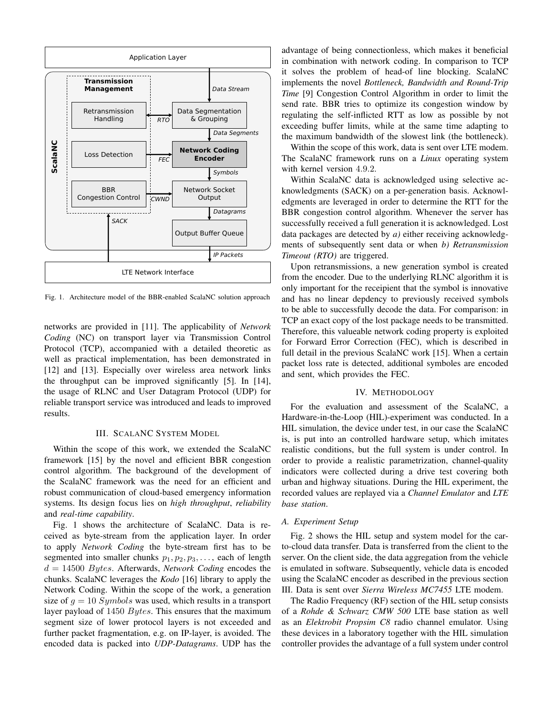

Fig. 1. Architecture model of the BBR-enabled ScalaNC solution approach

networks are provided in [11]. The applicability of *Network Coding* (NC) on transport layer via Transmission Control Protocol (TCP), accompanied with a detailed theoretic as well as practical implementation, has been demonstrated in [12] and [13]. Especially over wireless area network links the throughput can be improved significantly [5]. In [14], the usage of RLNC and User Datagram Protocol (UDP) for reliable transport service was introduced and leads to improved results.

#### III. SCALANC SYSTEM MODEL

Within the scope of this work, we extended the ScalaNC framework [15] by the novel and efficient BBR congestion control algorithm. The background of the development of the ScalaNC framework was the need for an efficient and robust communication of cloud-based emergency information systems. Its design focus lies on *high throughput*, *reliability* and *real-time capability*.

Fig. 1 shows the architecture of ScalaNC. Data is received as byte-stream from the application layer. In order to apply *Network Coding* the byte-stream first has to be segmented into smaller chunks  $p_1, p_2, p_3, \ldots$ , each of length d = 14500 Bytes. Afterwards, *Network Coding* encodes the chunks. ScalaNC leverages the *Kodo* [16] library to apply the Network Coding. Within the scope of the work, a generation size of  $g = 10$  Symbols was used, which results in a transport layer payload of 1450 Bytes. This ensures that the maximum segment size of lower protocol layers is not exceeded and further packet fragmentation, e.g. on IP-layer, is avoided. The encoded data is packed into *UDP-Datagrams*. UDP has the advantage of being connectionless, which makes it beneficial in combination with network coding. In comparison to TCP it solves the problem of head-of line blocking. ScalaNC implements the novel *Bottleneck, Bandwidth and Round-Trip Time* [9] Congestion Control Algorithm in order to limit the send rate. BBR tries to optimize its congestion window by regulating the self-inflicted RTT as low as possible by not exceeding buffer limits, while at the same time adapting to the maximum bandwidth of the slowest link (the bottleneck).

Within the scope of this work, data is sent over LTE modem. The ScalaNC framework runs on a *Linux* operating system with kernel version 4.9.2.

Within ScalaNC data is acknowledged using selective acknowledgments (SACK) on a per-generation basis. Acknowledgments are leveraged in order to determine the RTT for the BBR congestion control algorithm. Whenever the server has successfully received a full generation it is acknowledged. Lost data packages are detected by *a)* either receiving acknowledgments of subsequently sent data or when *b) Retransmission Timeout (RTO)* are triggered.

Upon retransmissions, a new generation symbol is created from the encoder. Due to the underlying RLNC algorithm it is only important for the receipient that the symbol is innovative and has no linear depdency to previously received symbols to be able to successfully decode the data. For comparison: in TCP an exact copy of the lost package needs to be transmitted. Therefore, this valueable network coding property is exploited for Forward Error Correction (FEC), which is described in full detail in the previous ScalaNC work [15]. When a certain packet loss rate is detected, additional symboles are encoded and sent, which provides the FEC.

### IV. METHODOLOGY

For the evaluation and assessment of the ScalaNC, a Hardware-in-the-Loop (HIL)-experiment was conducted. In a HIL simulation, the device under test, in our case the ScalaNC is, is put into an controlled hardware setup, which imitates realistic conditions, but the full system is under control. In order to provide a realistic parametrization, channel-quality indicators were collected during a drive test covering both urban and highway situations. During the HIL experiment, the recorded values are replayed via a *Channel Emulator* and *LTE base station*.

# *A. Experiment Setup*

Fig. 2 shows the HIL setup and system model for the carto-cloud data transfer. Data is transferred from the client to the server. On the client side, the data aggregation from the vehicle is emulated in software. Subsequently, vehicle data is encoded using the ScalaNC encoder as described in the previous section III. Data is sent over *Sierra Wireless MC7455* LTE modem.

The Radio Frequency (RF) section of the HIL setup consists of a *Rohde & Schwarz CMW 500* LTE base station as well as an *Elektrobit Propsim C8* radio channel emulator. Using these devices in a laboratory together with the HIL simulation controller provides the advantage of a full system under control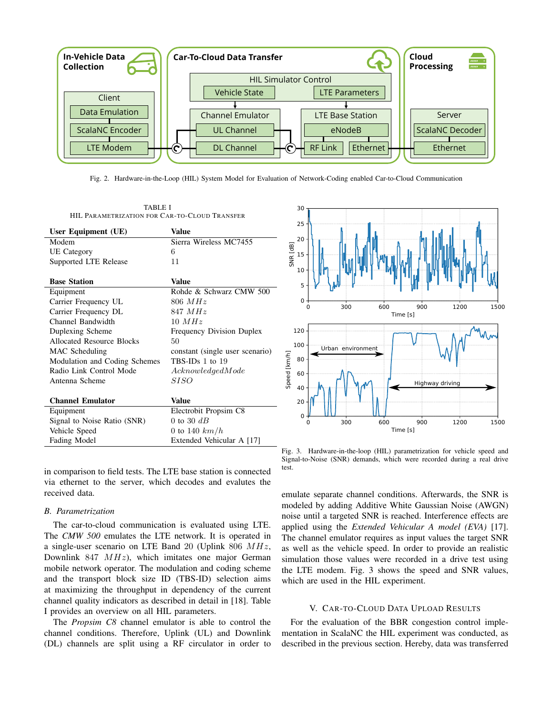

Fig. 2. Hardware-in-the-Loop (HIL) System Model for Evaluation of Network-Coding enabled Car-to-Cloud Communication

| <b>TABLE I</b>                                |  |  |
|-----------------------------------------------|--|--|
| HIL PARAMETRIZATION FOR CAR-TO-CLOUD TRANSFER |  |  |

| User Equipment (UE)              | <b>Value</b>                     |
|----------------------------------|----------------------------------|
| Modem                            | Sierra Wireless MC7455           |
| <b>UE</b> Category               | 6                                |
| Supported LTE Release            | 11                               |
|                                  |                                  |
| <b>Base Station</b>              | Value                            |
| Equipment                        | Rohde & Schwarz CMW 500          |
| Carrier Frequency UL             | 806 MHz                          |
| Carrier Frequency DL             | 847 MHz                          |
| Channel Bandwidth                | 10 MHz                           |
| Duplexing Scheme                 | <b>Frequency Division Duplex</b> |
| <b>Allocated Resource Blocks</b> | 50                               |
| MAC Scheduling                   | constant (single user scenario)  |
| Modulation and Coding Schemes    | TBS-IDs $1$ to $19$              |
| Radio Link Control Mode          | AcknowledgedMode                 |
| Antenna Scheme                   | SISO                             |
|                                  |                                  |
| <b>Channel Emulator</b>          | Value                            |
| Equipment                        | Electrobit Propsim C8            |
| Signal to Noise Ratio (SNR)      | 0 to 30 $dB$                     |
| Vehicle Speed                    | 0 to 140 $km/h$                  |
| Fading Model                     | Extended Vehicular A [17]        |

in comparison to field tests. The LTE base station is connected via ethernet to the server, which decodes and evalutes the received data.

#### *B. Parametrization*

The car-to-cloud communication is evaluated using LTE. The *CMW 500* emulates the LTE network. It is operated in a single-user scenario on LTE Band 20 (Uplink 806 MHz, Downlink 847  $MHz$ ), which imitates one major German mobile network operator. The modulation and coding scheme and the transport block size ID (TBS-ID) selection aims at maximizing the throughput in dependency of the current channel quality indicators as described in detail in [18]. Table I provides an overview on all HIL parameters.

The *Propsim C8* channel emulator is able to control the channel conditions. Therefore, Uplink (UL) and Downlink (DL) channels are split using a RF circulator in order to



Fig. 3. Hardware-in-the-loop (HIL) parametrization for vehicle speed and Signal-to-Noise (SNR) demands, which were recorded during a real drive test.

emulate separate channel conditions. Afterwards, the SNR is modeled by adding Additive White Gaussian Noise (AWGN) noise until a targeted SNR is reached. Interference effects are applied using the *Extended Vehicular A model (EVA)* [17]. The channel emulator requires as input values the target SNR as well as the vehicle speed. In order to provide an realistic simulation those values were recorded in a drive test using the LTE modem. Fig. 3 shows the speed and SNR values, which are used in the HIL experiment.

## V. CAR-TO-CLOUD DATA UPLOAD RESULTS

For the evaluation of the BBR congestion control implementation in ScalaNC the HIL experiment was conducted, as described in the previous section. Hereby, data was transferred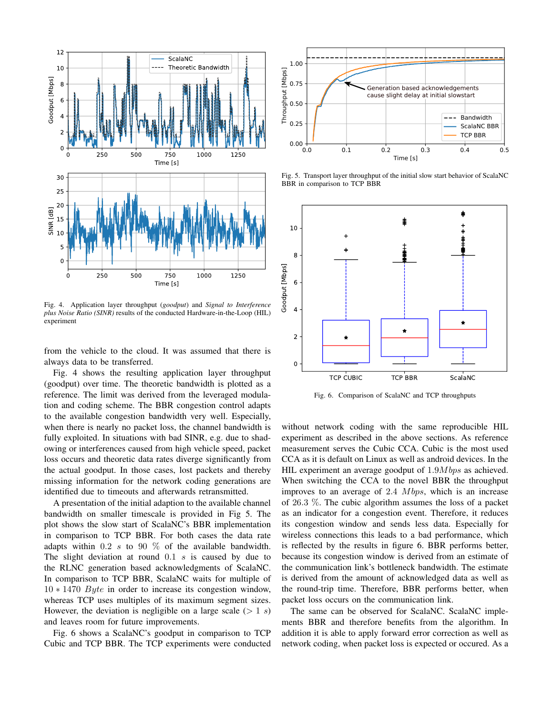

Fig. 4. Application layer throughput (*goodput*) and *Signal to Interference plus Noise Ratio (SINR)* results of the conducted Hardware-in-the-Loop (HIL) experiment

from the vehicle to the cloud. It was assumed that there is always data to be transferred.

Fig. 4 shows the resulting application layer throughput (goodput) over time. The theoretic bandwidth is plotted as a reference. The limit was derived from the leveraged modulation and coding scheme. The BBR congestion control adapts to the available congestion bandwidth very well. Especially, when there is nearly no packet loss, the channel bandwidth is fully exploited. In situations with bad SINR, e.g. due to shadowing or interferences caused from high vehicle speed, packet loss occurs and theoretic data rates diverge significantly from the actual goodput. In those cases, lost packets and thereby missing information for the network coding generations are identified due to timeouts and afterwards retransmitted.

A presentation of the initial adaption to the available channel bandwidth on smaller timescale is provided in Fig 5. The plot shows the slow start of ScalaNC's BBR implementation in comparison to TCP BBR. For both cases the data rate adapts within  $0.2 s$  to  $90 \%$  of the available bandwidth. The slight deviation at round  $0.1 s$  is caused by due to the RLNC generation based acknowledgments of ScalaNC. In comparison to TCP BBR, ScalaNC waits for multiple of 10 ∗ 1470 Byte in order to increase its congestion window, whereas TCP uses multiples of its maximum segment sizes. However, the deviation is negligible on a large scale  $(> 1 s)$ and leaves room for future improvements.

Fig. 6 shows a ScalaNC's goodput in comparison to TCP Cubic and TCP BBR. The TCP experiments were conducted



Fig. 5. Transport layer throughput of the initial slow start behavior of ScalaNC BBR in comparison to TCP BBR



Fig. 6. Comparison of ScalaNC and TCP throughputs

without network coding with the same reproducible HIL experiment as described in the above sections. As reference measurement serves the Cubic CCA. Cubic is the most used CCA as it is default on Linux as well as android devices. In the HIL experiment an average goodput of 1.9Mbps as achieved. When switching the CCA to the novel BBR the throughput improves to an average of  $2.4$   $Mbps$ , which is an increase of 26.3 %. The cubic algorithm assumes the loss of a packet as an indicator for a congestion event. Therefore, it reduces its congestion window and sends less data. Especially for wireless connections this leads to a bad performance, which is reflected by the results in figure 6. BBR performs better, because its congestion window is derived from an estimate of the communication link's bottleneck bandwidth. The estimate is derived from the amount of acknowledged data as well as the round-trip time. Therefore, BBR performs better, when packet loss occurs on the communication link.

The same can be observed for ScalaNC. ScalaNC implements BBR and therefore benefits from the algorithm. In addition it is able to apply forward error correction as well as network coding, when packet loss is expected or occured. As a